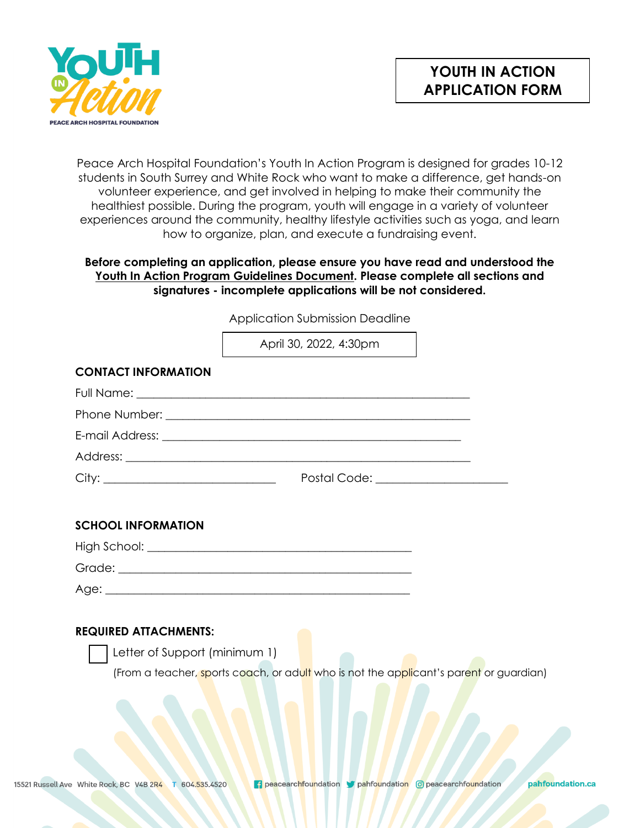



Peace Arch Hospital Foundation's Youth In Action Program is designed for grades 10-12 students in South Surrey and White Rock who want to make a difference, get hands-on volunteer experience, and get involved in helping to make their community the healthiest possible. During the program, youth will engage in a variety of volunteer experiences around the community, healthy lifestyle activities such as yoga, and learn how to organize, plan, and execute a fundraising event.

## **Before completing an application, please ensure you have read and understood the Youth In Action Program Guidelines Document. Please complete all sections and signatures - incomplete applications will be not considered.**

Application Submission Deadline

|                               | April 30, 2022, 4:30pm                                                                 |  |
|-------------------------------|----------------------------------------------------------------------------------------|--|
| <b>CONTACT INFORMATION</b>    |                                                                                        |  |
|                               |                                                                                        |  |
|                               |                                                                                        |  |
|                               |                                                                                        |  |
|                               |                                                                                        |  |
|                               | Postal Code: _____________________                                                     |  |
|                               |                                                                                        |  |
| <b>SCHOOL INFORMATION</b>     |                                                                                        |  |
|                               |                                                                                        |  |
|                               |                                                                                        |  |
|                               |                                                                                        |  |
|                               |                                                                                        |  |
| <b>REQUIRED ATTACHMENTS:</b>  |                                                                                        |  |
| Letter of Support (minimum 1) |                                                                                        |  |
|                               | (From a teacher, sports coach, or adult who is not the applicant's parent or guardian) |  |
|                               |                                                                                        |  |
|                               |                                                                                        |  |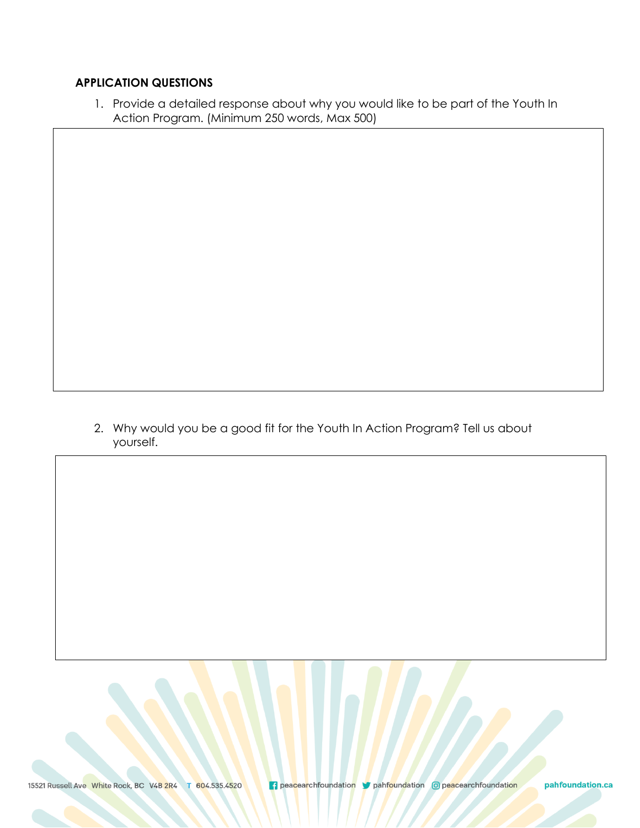## **APPLICATION QUESTIONS**

1. Provide a detailed response about why you would like to be part of the Youth In Action Program. (Minimum 250 words, Max 500)

2. Why would you be a good fit for the Youth In Action Program? Tell us about yourself.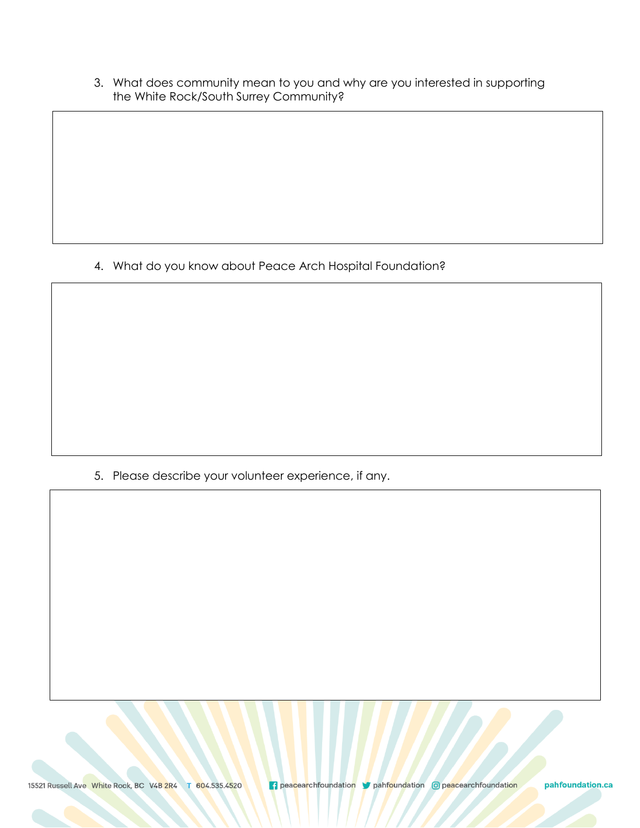3. What does community mean to you and why are you interested in supporting the White Rock/South Surrey Community?

4. What do you know about Peace Arch Hospital Foundation?

5. Please describe your volunteer experience, if any.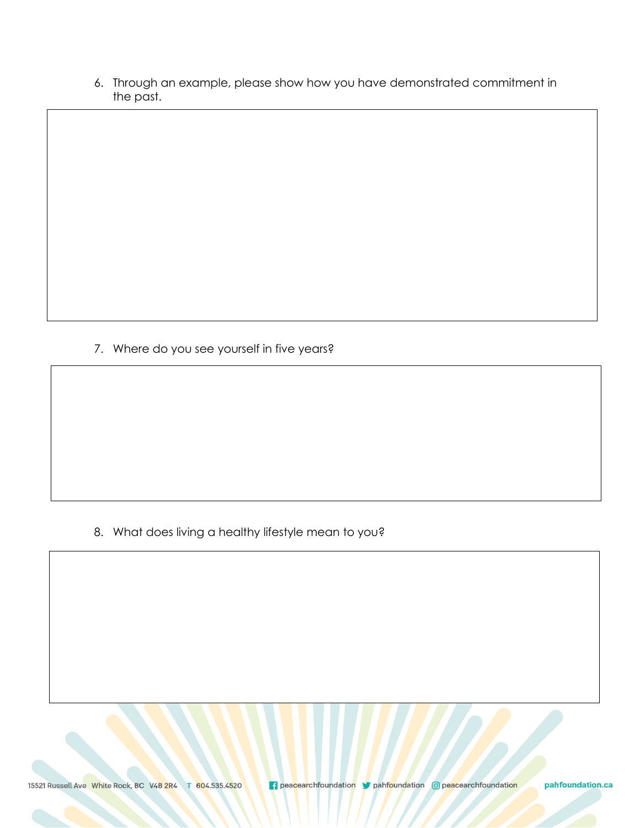6. Through an example, please show how you have demonstrated commitment in the past.

7. Where do you see yourself in five years?

8. What does living a healthy lifestyle mean to you?